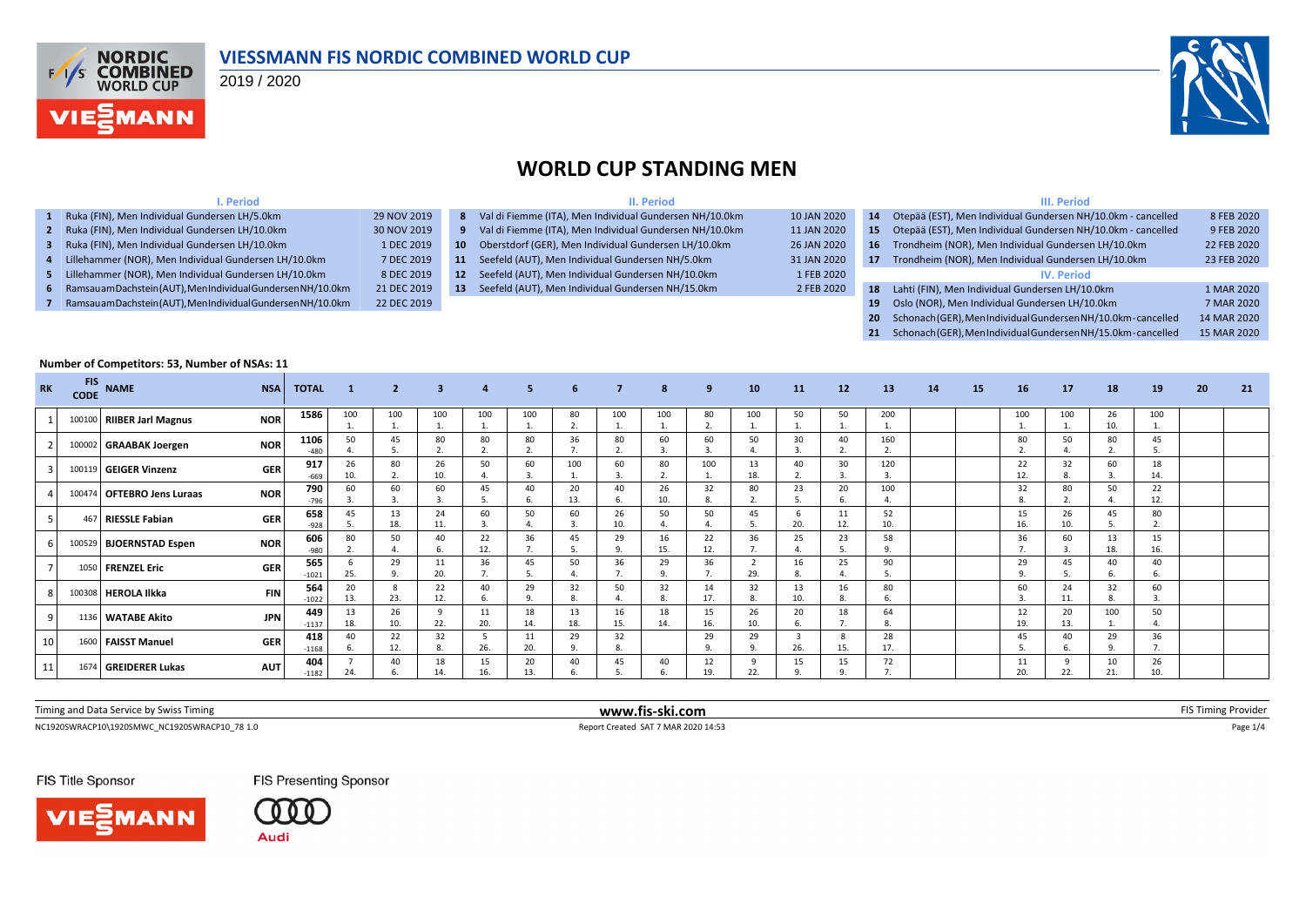

### **VIESSMANN FIS NORDIC COMBINED WORLD CUP**

2019 / 2020

**I. Period**



### **WORLD CUP STANDING MEN**

**II. Period**

### **III. Period**

| 1 Ruka (FIN), Men Individual Gundersen LH/5.0km               | 29 NOV 2019 |                 | 8 Val di Fiemme (ITA), Men Individual Gundersen NH/10.0km | 10 JAN 2020 | 14           | Otepää (EST), Men Individual Gundersen NH/10.0km - cancelled   | 8 FEB 2020  |
|---------------------------------------------------------------|-------------|-----------------|-----------------------------------------------------------|-------------|--------------|----------------------------------------------------------------|-------------|
| 2 Ruka (FIN), Men Individual Gundersen LH/10.0km              | 30 NOV 2019 |                 | 9 Val di Fiemme (ITA), Men Individual Gundersen NH/10.0km | 11 JAN 2020 | $15^{\circ}$ | Otepää (EST), Men Individual Gundersen NH/10.0km - cancelled   | 9 FEB 2020  |
| Ruka (FIN), Men Individual Gundersen LH/10.0km                | 1 DEC 2019  | $10-10$         | Oberstdorf (GER), Men Individual Gundersen LH/10.0km      | 26 JAN 2020 |              | Trondheim (NOR), Men Individual Gundersen LH/10.0km            | 22 FEB 2020 |
| 4 Lillehammer (NOR), Men Individual Gundersen LH/10.0km       | 7 DEC 2019  | 11              | Seefeld (AUT), Men Individual Gundersen NH/5.0km          | 31 JAN 2020 | -17          | Trondheim (NOR), Men Individual Gundersen LH/10.0km            | 23 FEB 2020 |
| 5 Lillehammer (NOR), Men Individual Gundersen LH/10.0km       | 8 DEC 2019  | 12 <sup>7</sup> | Seefeld (AUT), Men Individual Gundersen NH/10.0km         | 1 FEB 2020  |              | <b>IV. Period</b>                                              |             |
| 6 Ramsauam Dachstein (AUT), MenIndividual Gundersen NH/10.0km | 21 DEC 2019 | 13 <sup>7</sup> | Seefeld (AUT), Men Individual Gundersen NH/15.0km         | 2 FEB 2020  | -18          | Lahti (FIN), Men Individual Gundersen LH/10.0km                | 1 MAR 2020  |
| Ramsauam Dachstein (AUT), Men Individual Gundersen NH/10.0km  | 22 DEC 2019 |                 |                                                           |             |              | Oslo (NOR), Men Individual Gundersen LH/10.0km                 | 7 MAR 2020  |
|                                                               |             |                 |                                                           |             |              | 20 Schonach (GER), MenIndividual Gundersen NH/10.0km-cancelled | 14 MAR 2020 |

**21** Schonach (GER), Men Individual Gundersen NH/15.0km - cancelled 15 MAR 2020

### **Number of Competitors: 53, Number of NSAs: 11 RK FIS CODE NAME NSA TOTAL <sup>1</sup> <sup>2</sup> <sup>3</sup> <sup>4</sup> <sup>5</sup> <sup>6</sup> <sup>7</sup> <sup>8</sup> <sup>9</sup> <sup>10</sup> <sup>11</sup> <sup>12</sup> <sup>13</sup> <sup>14</sup> <sup>15</sup> <sup>16</sup> <sup>17</sup> <sup>18</sup> <sup>19</sup> <sup>20</sup> <sup>21</sup>** <sup>1</sup> <sup>100100</sup> **RIIBER Jarl Magnus NOR <sup>1586</sup>** <sup>100</sup> 1. 100 1. 100 1. 100 1. 100 1. 80 2. 100 1. 100 1. 80  $\overline{2}$ 100 1. 50 1. 50 1. 200 1. 100 1. 100 1. 26 10. 100 1. <sup>2</sup> <sup>100002</sup> **GRAABAK Joergen NOR <sup>1106</sup>** <sup>50</sup> 4. 45 5. 80 2. 80 2. 80 2. 36 7. 80  $\overline{2}$ 60 3. 60 3. 50 4. 30 3. 40  $\overline{2}$ 160 2. 80 2. 50 4. 80 2. 45 480 4. 5. 2. 2. 2. 7. 2. 3. 3. 4. 3. 2. 2. 1. 1. 2. 4. 2. 5. <sup>3</sup> <sup>100119</sup> **GEIGER Vinzenz GER <sup>917</sup>** <sup>26</sup> 10. 80 2. 26 10. 50 4. 60 3. 100 1. 60 3. 80 2. 100 1. 13 18. 40 2. 30 3. 120 3. 22 12. 32 8. 60 3.  $\frac{18}{14}$ -669 10. 2. 10. 4. 3. 1 1. 3. 2. 1. 18. 2. 3. 3. 1. 12. 8. 3. 3. 14. <sup>4</sup> <sup>100474</sup> **OFTEBRO Jens Luraas NOR <sup>790</sup>** <sup>60</sup> 3. 60 3. 60 3. 45 5. 40 6. 20 13. 40 6. 26 10. 32 8. 80 2. 23 5. 20 6. 100 4. 32 8. 80 2. 50 4.  $22$ <br>12 -796 | 3. | 3. | 3. | 5. | 6. | 13. | 6. | 10. | 8. | 2. | 5. | 6. | 4. | | | 8. | 2. | 4. | 12. <sup>5</sup> <sup>467</sup> **RIESSLE Fabian GER <sup>658</sup>** <sup>45</sup> 5. 13 18. 24 11. 60 3. 50 4. 60 3. 26 10. 50 4. 50 4. 45 5. 6 20. 11 12. 52 10. 15 16. 26 10. 45 5. 80 -928 | 5. | 18. | 11. | 3. | 4. | 3. | 10. | 4. | 4. | 5. | 20. | 12. | 10. | 10. | 10. | 5. | 2. <sup>6</sup> <sup>100529</sup> **BJOERNSTAD Espen NOR <sup>606</sup>** <sup>80</sup> 2. 50 4. 40 6. 22 12. 36 7. 45 5. 29 9. 16 15. 22 12. 36 7. 25 4. 23 5. 58 9. 36 7. 60 3. 13 18. 15 -980 2. 4. 6. 12. 7. 5. 9. 15. 12. 7. 4. 5. 9. 1. 1. 7. 3. 18. 16. <sup>7</sup> <sup>1050</sup> **FRENZEL Eric GER <sup>565</sup>** <sup>6</sup> 25. 29 9. 11 20. 36 7. 45 5. 50 4. 36 7. 29 9. 36 7. 2 29. 16 8. 25 4. 90 5. 29 9. 45 5. 40 6. 40 -1021 25. 9. 20. 7. 5. 4. 7. 9. 7. 29. 8. 4. 5. 0. 1 <sup>8</sup> <sup>100308</sup> **HEROLA Ilkka FIN <sup>564</sup>** <sup>20</sup> 13. 8  $23.$ 22 12. 40 6. 29 9. 32 8. 50 4. 32 8. 14 17. 32 8. 13 10. 16 8. 80 6. 60 3. 24 11. 32 8. 60 1022 13. | 23. | 12. | 6. | 9. | 8. | 4. | 8. | 17. | 8. | 10. | 8. | 6. | | | | | 3. | 11. | 8. | 3. <sup>9</sup> <sup>1136</sup> **WATABE Akito JPN <sup>449</sup>** <sup>13</sup> 18. 26 10. 9 22. 11 20. 18 14. 13 18. 16 15. 18 14. 15 16. 26 10. 20 6. 18 7. 64 8. 12 19. 20 13. 100 1.  $\frac{50}{4}$ 1137 18. | 10. | 22. | 20. | 14. | 18. | 15. | 14. | 16. | 10. | 6. | 7. | 8. | | | | | 19. | 13. | 1. | 4. <sup>10</sup> <sup>1600</sup> **FAISST Manuel GER <sup>418</sup>** <sup>40</sup> 6. 22 12. 32 8. 5 26. 11 20. 29 9. 32 8. 29 9. 29 9. 3 26. 8 15. 28 17. 45 5. 40 6. 29 9.  $\frac{36}{7}$ -1168 6. | 12. | 8. | 26. | 20. | 9. | 8. | 9. | 9. | 26. | 15. | 17. | | | | | 5. | 6. | 9. | 7. <sup>11</sup> <sup>1674</sup> **GREIDERER Lukas AUT <sup>404</sup>** <sup>7</sup> 24. 40 6. 18 14. 15 16. 20 13. 40 6. 45 5. 40 6. 12 19. 9 22. 15 9. 15 9. 72 7. 11 20. 9 22. 10 21.  $\frac{26}{10}$ -1182 | 24. | 6. | 14. | 16. | 13. | 6. | 5. | 6. | 19. | 22. | 9. | 9. | 7. | | | | | 20. | 22. | 21. | 10.

| Timing and Data Service by Swiss Timing       | www.fis-ski.com                     | AS Timing Provider |
|-----------------------------------------------|-------------------------------------|--------------------|
| NC1920SWRACP10\1920SMWC NC1920SWRACP10 78 1.0 | Report Created SAT 7 MAR 2020 14:53 | : 11'              |

FIS Title Sponsor





**FIS Presenting Sponsor**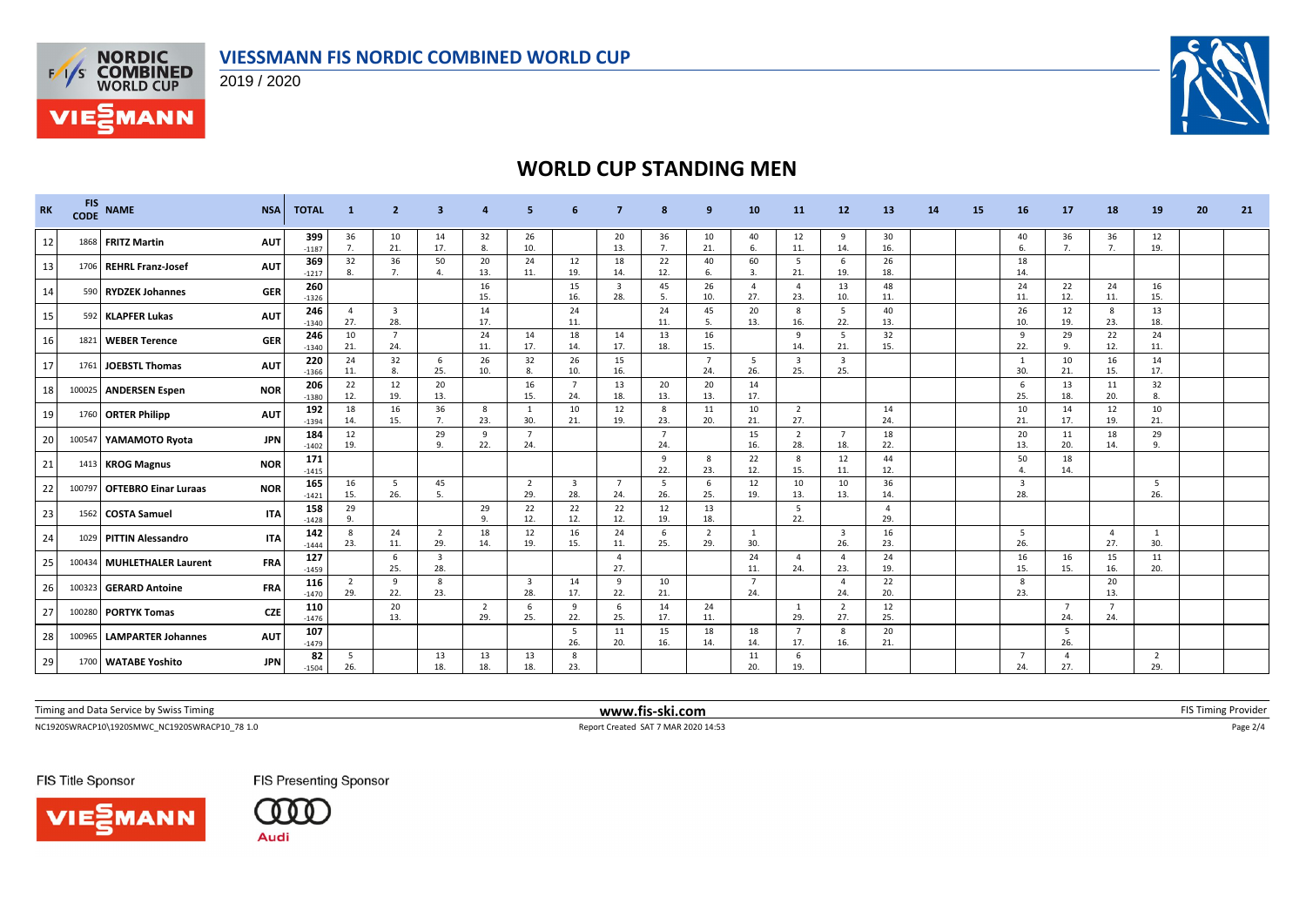



**VIE***MANN* 

# **WORLD CUP STANDING MEN**

| <b>RK</b> | <b>FIS</b><br><b>CODE</b> | <b>NAME</b>                 | <b>NSA</b> | <b>TOTAL</b>   | -1                    | -2                             | з                              |                       |                                |                                |                       | 8                     | 9                     | 10                    | 11                             | 12                             | 13                    | 14 | 15 | 16                    | 17              | 18                    | 19        | 20 | 21 |
|-----------|---------------------------|-----------------------------|------------|----------------|-----------------------|--------------------------------|--------------------------------|-----------------------|--------------------------------|--------------------------------|-----------------------|-----------------------|-----------------------|-----------------------|--------------------------------|--------------------------------|-----------------------|----|----|-----------------------|-----------------|-----------------------|-----------|----|----|
| 12        | 1868                      | <b>FRITZ Martin</b>         | <b>AUT</b> | 399<br>$-1187$ | 36<br>7.              | 10<br>21.                      | 14<br>17.                      | 32<br>8.              | 26<br>10.                      |                                | 20<br>13.             | 36<br>7.              | 10<br>21.             | 40<br>-6.             | 12<br>11.                      | 9<br>14.                       | 30<br>16.             |    |    | 40<br>6.              | 36<br>7.        | 36<br>7.              | 12<br>19. |    |    |
| 13        | 1706                      | REHRL Franz-Josef           | <b>AUT</b> | 369<br>$-1217$ | 32<br>8.              | 36<br>7.                       | 50<br>$\overline{4}$           | 20<br>13.             | 24<br>11.                      | 12<br>19.                      | 18<br>14.             | 22<br>12.             | 40<br>6.              | 60<br>3.              | - 5<br>21.                     | 6<br>19.                       | 26<br>18.             |    |    | 18<br>14.             |                 |                       |           |    |    |
| 14        | 590                       | <b>RYDZEK Johannes</b>      | <b>GER</b> | 260<br>$-1326$ |                       |                                |                                | 16<br>15.             |                                | 15<br>16.                      | $\overline{3}$<br>28. | 45<br>5.              | 26<br>10.             | $\overline{4}$<br>27. | $\overline{4}$<br>23.          | 13<br>10.                      | 48<br>11.             |    |    | 24<br>11.             | 22<br>12.       | 24<br>11.             | 16<br>15. |    |    |
| 15        | 592                       | <b>KLAPFER Lukas</b>        | <b>AUT</b> | 246<br>$-1340$ | $\overline{4}$<br>27. | $\overline{\mathbf{3}}$<br>28. |                                | 14<br>17.             |                                | 24<br>11.                      |                       | 24<br>11.             | 45<br>-5.             | 20<br>13.             | 8<br>16.                       | 5<br>22.                       | 40<br>13.             |    |    | 26<br>10.             | 12<br>19.       | 8<br>23.              | 13<br>18. |    |    |
| 16        | 1821                      | <b>WEBER Terence</b>        | <b>GER</b> | 246<br>$-1340$ | 10<br>21.             | $\overline{7}$<br>24.          |                                | 24<br>11.             | 14<br>17.                      | 18<br>14.                      | 14<br>17.             | 13<br>18.             | 16<br>15.             |                       | 9<br>14.                       | 5<br>21.                       | 32<br>15.             |    |    | - 9<br>22.            | 29<br>9.        | 22<br>12.             | 24<br>11. |    |    |
| 17        |                           | 1761 JOEBSTL Thomas         | <b>AUT</b> | 220<br>$-1366$ | 24<br>11.             | 32<br>8                        | 6<br>25.                       | 26<br>10.             | 32                             | 26<br>10.                      | 15<br>16.             |                       | -7<br>24.             | -5<br>26.             | $\overline{\mathbf{3}}$<br>25. | 3<br>25.                       |                       |    |    | 30.                   | 10<br>21.       | 16<br>15.             | 14<br>17. |    |    |
| 18        |                           | 100025 ANDERSEN Espen       | <b>NOR</b> | 206<br>$-1380$ | 22<br>12.             | 12<br>19.                      | 20<br>13.                      |                       | 16<br>15.                      | $\overline{7}$<br>24.          | 13<br>18.             | 20<br>13.             | 20<br>13.             | 14<br>17.             |                                |                                |                       |    |    | - 6<br>25.            | 13<br>18.       | 11<br>20.             | 32<br>8.  |    |    |
| 19        |                           | 1760 ORTER Philipp          | <b>AUT</b> | 192<br>$-1394$ | 18<br>14.             | 16<br>15.                      | 36<br>7.                       | 8<br>23.              | 30.                            | 10<br>21.                      | 12<br>19.             | 8<br>23.              | 11<br>20.             | 10<br>21.             | $\overline{2}$<br>27.          |                                | 14<br>24.             |    |    | 10<br>21.             | 14<br>17.       | 12<br>19.             | 10<br>21. |    |    |
| 20        |                           | 100547 YAMAMOTO Ryota       | <b>JPN</b> | 184<br>$-1402$ | 12<br>19.             |                                | 29<br>9.                       | 9<br>22.              | $\overline{7}$<br>24.          |                                |                       | $\overline{7}$<br>24. |                       | 15<br>16.             | $\overline{2}$<br>28.          | $\overline{7}$<br>18.          | 18<br>22.             |    |    | 20<br>13.             | 11<br>20.       | 18<br>14.             | 29<br>9.  |    |    |
| 21        |                           | 1413 KROG Magnus            | <b>NOR</b> | 171<br>$-1415$ |                       |                                |                                |                       |                                |                                |                       | 9<br>22.              | -8<br>23.             | 22<br>12.             | 8<br>15.                       | 12<br>11.                      | 44<br>12.             |    |    | 50<br>$\Delta$        | 18<br>14.       |                       |           |    |    |
| 22        | 100797                    | <b>OFTEBRO Einar Luraas</b> | <b>NOR</b> | 165<br>$-1421$ | 16<br>15.             | - 5<br>26.                     | 45<br>5.                       |                       | $\overline{2}$<br>29.          | $\overline{\mathbf{3}}$<br>28. | $\overline{7}$<br>24. | 5<br>26.              | - 6<br>25.            | 12<br>19.             | 10<br>13.                      | 10<br>13.                      | 36<br>14.             |    |    | $\overline{3}$<br>28. |                 |                       | -5<br>26. |    |    |
| 23        | 1562                      | COSTA Samuel                | <b>ITA</b> | 158<br>$-1428$ | 29<br>9.              |                                |                                | 29<br>9.              | 22<br>12.                      | 22<br>12.                      | 22<br>12.             | 12<br>19.             | 13<br>18.             |                       | 5<br>22.                       |                                | $\overline{4}$<br>29. |    |    |                       |                 |                       |           |    |    |
| 24        | 1029                      | <b>PITTIN Alessandro</b>    | <b>ITA</b> | 142<br>$-1444$ | 8<br>23.              | 24<br>11.                      | $\overline{2}$<br>29.          | 18<br>14.             | 12<br>19.                      | 16<br>15.                      | 24<br>11.             | 6<br>25.              | $\overline{2}$<br>29. | 1<br>30.              |                                | $\overline{\mathbf{3}}$<br>26. | 16<br>23.             |    |    | 5<br>26.              |                 | $\overline{4}$<br>27. | 1<br>30.  |    |    |
| 25        | 100434                    | MUHLETHALER Laurent         | <b>FRA</b> | 127<br>$-1459$ |                       | -6<br>25.                      | $\overline{\mathbf{3}}$<br>28. |                       |                                |                                | $\overline{4}$<br>27. |                       |                       | 24<br>11.             | $\overline{4}$<br>24.          | 23.                            | 24<br>19.             |    |    | 16<br>15.             | 16<br>15.       | 15<br>16.             | 11<br>20. |    |    |
| 26        |                           | 100323 GERARD Antoine       | <b>FRA</b> | 116<br>$-1470$ | $\overline{2}$<br>29. | 9<br>22.                       | 8<br>23.                       |                       | $\overline{\mathbf{3}}$<br>28. | 14<br>17.                      | 9<br>22.              | 10<br>21.             |                       | - 7<br>24.            |                                | $\mathbf{A}$<br>24.            | 22<br>20.             |    |    | 8<br>23.              |                 | 20<br>13.             |           |    |    |
| 27        |                           | 100280 PORTYK Tomas         | <b>CZE</b> | 110<br>$-1476$ |                       | 20<br>13.                      |                                | $\overline{2}$<br>29. | 6<br>25.                       | 9<br>22.                       | -6<br>25.             | 14<br>17.             | 24<br>11.             |                       | 1<br>29.                       | 2<br>27.                       | 12<br>25.             |    |    |                       | - 7<br>24.      | $\overline{7}$<br>24. |           |    |    |
| 28        |                           | 100965 LAMPARTER Johannes   | <b>AUT</b> | 107<br>$-1479$ |                       |                                |                                |                       |                                | - 5<br>26.                     | 11<br>20.             | 15<br>16.             | 18<br>14.             | 18<br>14.             | $\overline{7}$<br>17.          | 8<br>16.                       | 20<br>21.             |    |    |                       | - 5<br>26.      |                       |           |    |    |
| 29        |                           | 1700 WATABE Yoshito         | <b>JPN</b> | 82<br>$-1504$  | 5<br>26.              |                                | 13<br>18.                      | 13<br>18.             | 13<br>18.                      | 8<br>23.                       |                       |                       |                       | 11<br>20.             | 6<br>19.                       |                                |                       |    |    | - 7<br>24.            | $\Delta$<br>27. |                       | 2<br>29.  |    |    |

Timing and Data Service by Swiss Timing **EXTIMING 2008 WWW.fis-ski.com WWW.fis-ski.com** FIS Timing Provider

NC1920SWRACP10\1920SMWC\_NC1920SWRACP10\_78 1.0 Report Created SAT 7 MAR 2020 14:53 Page 2/4

FIS Title Sponsor





**FIS Presenting Sponsor**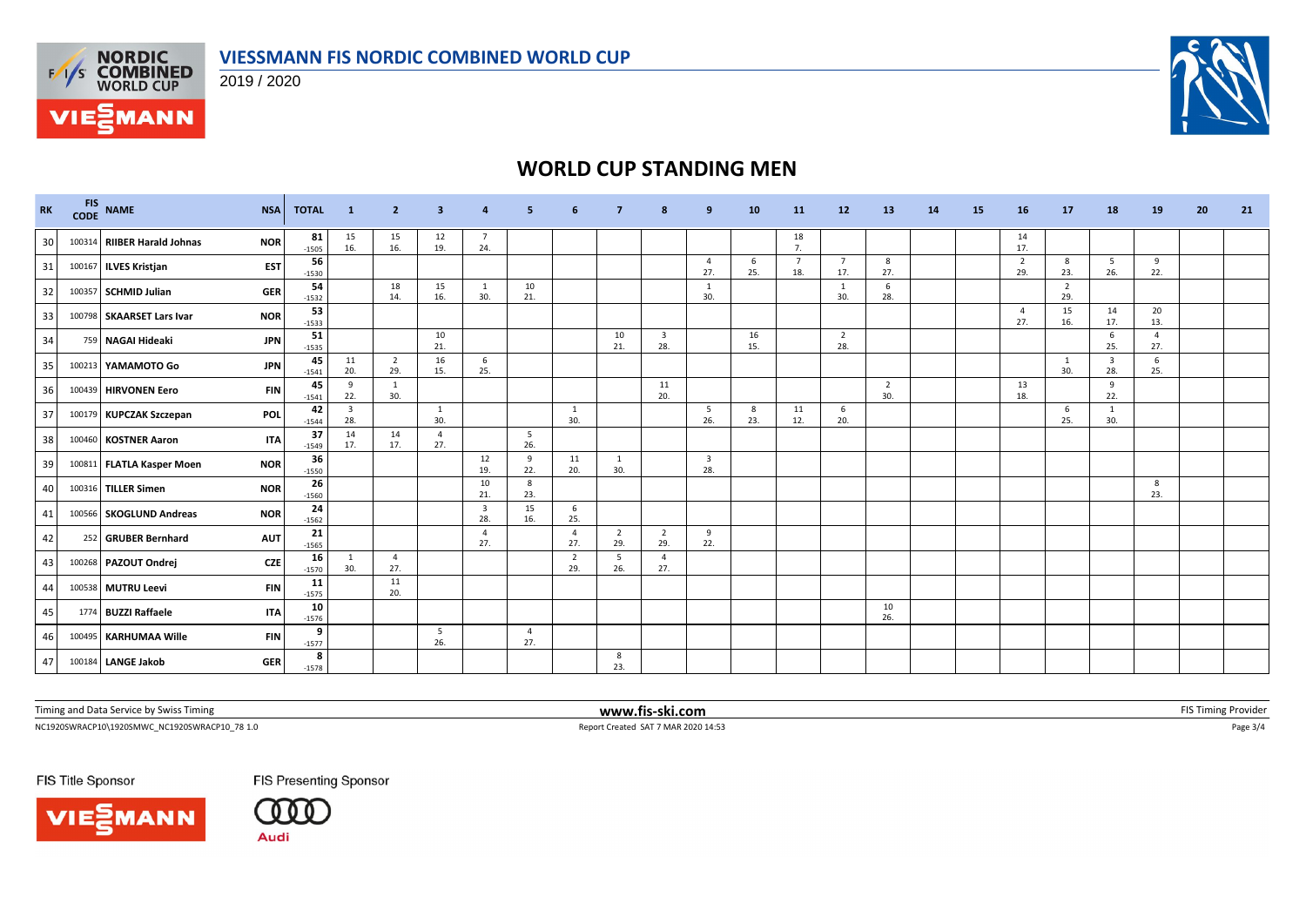

2019 / 2020



# **WORLD CUP STANDING MEN**

| <b>RK</b> |        | CODE NAME                   | <b>NSA</b> | <b>TOTAL</b>  | $\blacksquare$                 | $\overline{2}$        | 3.                    |                                |           | -6                    | 7                     | 8                              | 9                              | 10        | 11                    | 12 <sup>2</sup>       | 13                    | 14 | 15 | 16                    | 17                    | 18                             | <b>19</b>             | 20 | 21 |
|-----------|--------|-----------------------------|------------|---------------|--------------------------------|-----------------------|-----------------------|--------------------------------|-----------|-----------------------|-----------------------|--------------------------------|--------------------------------|-----------|-----------------------|-----------------------|-----------------------|----|----|-----------------------|-----------------------|--------------------------------|-----------------------|----|----|
| 30        |        | 100314 RIIBER Harald Johnas | <b>NOR</b> | 81<br>$-1505$ | 15<br>16.                      | 15<br>16.             | 12<br>19.             | $\overline{7}$<br>24.          |           |                       |                       |                                |                                |           | 18<br>7.              |                       |                       |    |    | 14<br>17.             |                       |                                |                       |    |    |
| 31        |        | 100167 ILVES Kristjan       | <b>EST</b> | 56<br>$-1530$ |                                |                       |                       |                                |           |                       |                       |                                | $\overline{4}$<br>27.          | 6<br>25.  | $\overline{7}$<br>18. | $\overline{7}$<br>17. | 8<br>27.              |    |    | $\overline{2}$<br>29. | 8<br>23.              | 5 <sup>5</sup><br>26.          | 9<br>22.              |    |    |
| 32        | 100357 | <b>SCHMID Julian</b>        | <b>GER</b> | 54<br>$-1532$ |                                | 18<br>14.             | 15<br>16.             | <sup>1</sup><br>30.            | 10<br>21. |                       |                       |                                | $\overline{1}$<br>30.          |           |                       | -1<br>30.             | 6<br>28.              |    |    |                       | $\overline{2}$<br>29. |                                |                       |    |    |
| 33        |        | 100798 SKAARSET Lars Ivar   | <b>NOR</b> | 53<br>$-1533$ |                                |                       |                       |                                |           |                       |                       |                                |                                |           |                       |                       |                       |    |    | $\overline{a}$<br>27. | 15<br>16.             | 14<br>17.                      | 20<br>13.             |    |    |
| 34        | 759    | <b>NAGAI Hideaki</b>        | <b>JPN</b> | 51<br>$-1535$ |                                |                       | 10<br>21.             |                                |           |                       | 10<br>21.             | $\overline{\mathbf{3}}$<br>28. |                                | 16<br>15. |                       | $\overline{2}$<br>28. |                       |    |    |                       |                       | $6\phantom{1}6$<br>25.         | $\overline{4}$<br>27. |    |    |
| 35        |        | 100213 YAMAMOTO Go          | <b>JPN</b> | 45<br>$-1541$ | 11<br>20.                      | $\overline{2}$<br>29. | 16<br>15.             | 6<br>25.                       |           |                       |                       |                                |                                |           |                       |                       |                       |    |    |                       | -1<br>30.             | $\overline{\mathbf{3}}$<br>28. | 6<br>25.              |    |    |
| 36        |        | 100439 HIRVONEN Eero        | <b>FIN</b> | 45<br>$-1541$ | 9<br>22.                       | $\overline{1}$<br>30. |                       |                                |           |                       |                       | 11<br>20.                      |                                |           |                       |                       | $\overline{2}$<br>30. |    |    | 13<br>18.             |                       | 9<br>22.                       |                       |    |    |
| 37        |        | 100179 KUPCZAK Szczepan     | POL        | 42<br>$-1544$ | $\overline{\mathbf{3}}$<br>28. |                       | $\mathbf{1}$<br>30.   |                                |           | 1<br>30.              |                       |                                | - 5<br>26.                     | 8<br>23.  | 11<br>12.             | 6<br>20.              |                       |    |    |                       | 6<br>25.              | <sup>1</sup><br>30.            |                       |    |    |
| 38        | 100460 | <b>KOSTNER Aaron</b>        | <b>ITA</b> | 37<br>$-1549$ | 14<br>17.                      | 14<br>17.             | $\overline{4}$<br>27. |                                | 5<br>26.  |                       |                       |                                |                                |           |                       |                       |                       |    |    |                       |                       |                                |                       |    |    |
| 39        |        | 100811 FLATLA Kasper Moen   | <b>NOR</b> | 36<br>$-1550$ |                                |                       |                       | 12<br>19.                      | 9<br>22.  | 11<br>20.             | $\mathbf{1}$<br>30.   |                                | $\overline{\mathbf{3}}$<br>28. |           |                       |                       |                       |    |    |                       |                       |                                |                       |    |    |
| 40        |        | 100316 TILLER Simen         | <b>NOR</b> | 26<br>$-1560$ |                                |                       |                       | 10<br>21.                      | 8<br>23.  |                       |                       |                                |                                |           |                       |                       |                       |    |    |                       |                       |                                | 8<br>23.              |    |    |
| 41        |        | 100566 SKOGLUND Andreas     | <b>NOR</b> | 24<br>$-1562$ |                                |                       |                       | $\overline{\mathbf{3}}$<br>28. | 15<br>16. | 6<br>25.              |                       |                                |                                |           |                       |                       |                       |    |    |                       |                       |                                |                       |    |    |
| 42        |        | 252 GRUBER Bernhard         | <b>AUT</b> | 21<br>$-1565$ |                                |                       |                       | $\overline{4}$<br>27.          |           | $\overline{4}$<br>27. | $\overline{2}$<br>29. | $\overline{2}$<br>29.          | 9<br>22.                       |           |                       |                       |                       |    |    |                       |                       |                                |                       |    |    |
| 43        |        | 100268 PAZOUT Ondrej        | <b>CZE</b> | 16<br>$-1570$ | 1<br>30.                       | $\overline{4}$<br>27. |                       |                                |           | $\overline{2}$<br>29. | 5<br>26.              | $\overline{4}$<br>27.          |                                |           |                       |                       |                       |    |    |                       |                       |                                |                       |    |    |
| 44        |        | 100538 MUTRU Leevi          | <b>FIN</b> | 11<br>$-1575$ |                                | 11<br>20.             |                       |                                |           |                       |                       |                                |                                |           |                       |                       |                       |    |    |                       |                       |                                |                       |    |    |
| 45        |        | 1774 BUZZI Raffaele         | <b>ITA</b> | 10<br>$-1576$ |                                |                       |                       |                                |           |                       |                       |                                |                                |           |                       |                       | 10<br>26.             |    |    |                       |                       |                                |                       |    |    |
| 46        |        | 100495 KARHUMAA Wille       | <b>FIN</b> | 9<br>$-1577$  |                                |                       | 5<br>26.              |                                | 4<br>27.  |                       |                       |                                |                                |           |                       |                       |                       |    |    |                       |                       |                                |                       |    |    |
| 47        |        | 100184 LANGE Jakob          | <b>GER</b> | 8<br>$-1578$  |                                |                       |                       |                                |           |                       | 8<br>23.              |                                |                                |           |                       |                       |                       |    |    |                       |                       |                                |                       |    |    |

Timing and Data Service by Swiss Timing **www.fis-ski.com www.fis-ski.com** FIS Timing Provider

NC1920SWRACP10\1920SMWC\_NC1920SWRACP10\_78 1.0 Report Created SAT 7 MAR 2020 14:53 Page 3/4

FIS Title Sponsor